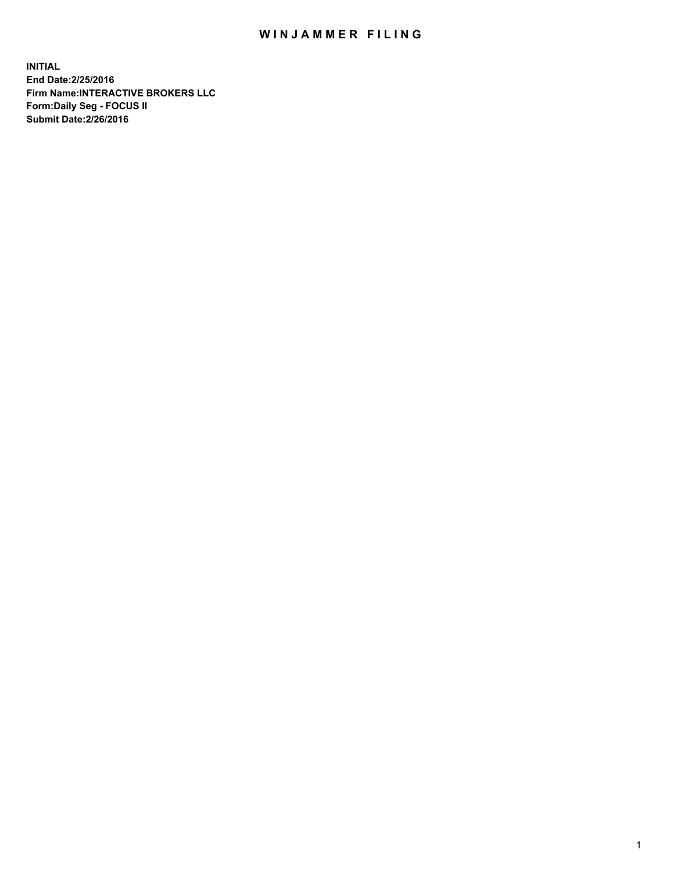## WIN JAMMER FILING

**INITIAL End Date:2/25/2016 Firm Name:INTERACTIVE BROKERS LLC Form:Daily Seg - FOCUS II Submit Date:2/26/2016**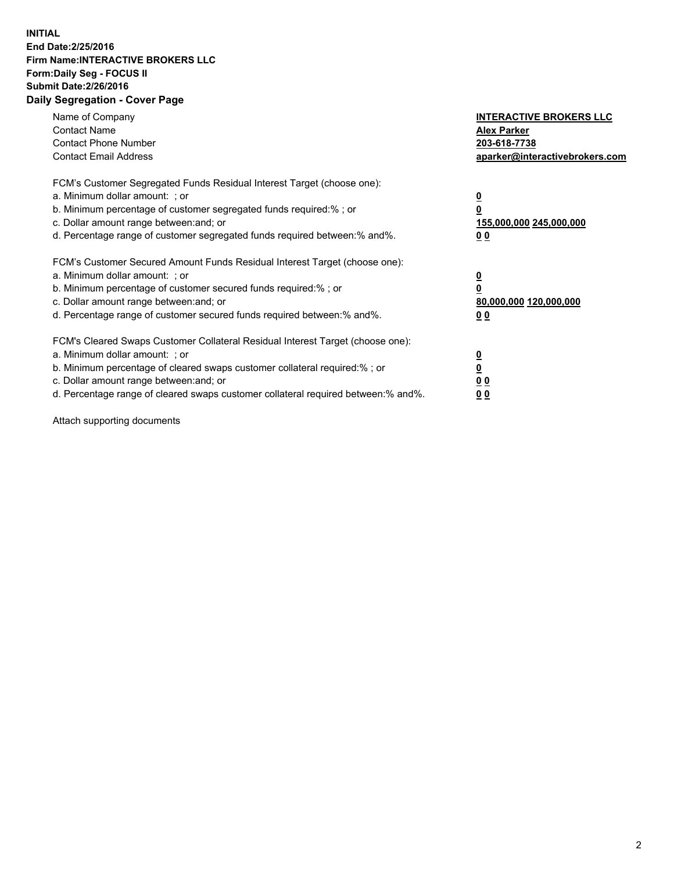## **INITIAL End Date:2/25/2016 Firm Name:INTERACTIVE BROKERS LLC Form:Daily Seg - FOCUS II Submit Date:2/26/2016 Daily Segregation - Cover Page**

| Name of Company<br><b>Contact Name</b><br><b>Contact Phone Number</b><br><b>Contact Email Address</b>                                                                                                                                                                                                                          | <b>INTERACTIVE BROKERS LLC</b><br><b>Alex Parker</b><br>203-618-7738<br>aparker@interactivebrokers.com |
|--------------------------------------------------------------------------------------------------------------------------------------------------------------------------------------------------------------------------------------------------------------------------------------------------------------------------------|--------------------------------------------------------------------------------------------------------|
| FCM's Customer Segregated Funds Residual Interest Target (choose one):<br>a. Minimum dollar amount: ; or<br>b. Minimum percentage of customer segregated funds required:%; or<br>c. Dollar amount range between: and; or<br>d. Percentage range of customer segregated funds required between:% and%.                          | <u>0</u><br>155,000,000 245,000,000<br><u>0 0</u>                                                      |
| FCM's Customer Secured Amount Funds Residual Interest Target (choose one):<br>a. Minimum dollar amount: ; or<br>b. Minimum percentage of customer secured funds required:% ; or<br>c. Dollar amount range between: and; or<br>d. Percentage range of customer secured funds required between:% and%.                           | <u>0</u><br>80,000,000 120,000,000<br><u>0 0</u>                                                       |
| FCM's Cleared Swaps Customer Collateral Residual Interest Target (choose one):<br>a. Minimum dollar amount: ; or<br>b. Minimum percentage of cleared swaps customer collateral required:% ; or<br>c. Dollar amount range between: and; or<br>d. Percentage range of cleared swaps customer collateral required between:% and%. | <u>0</u><br>0 <sub>0</sub><br>0 <sub>0</sub>                                                           |

Attach supporting documents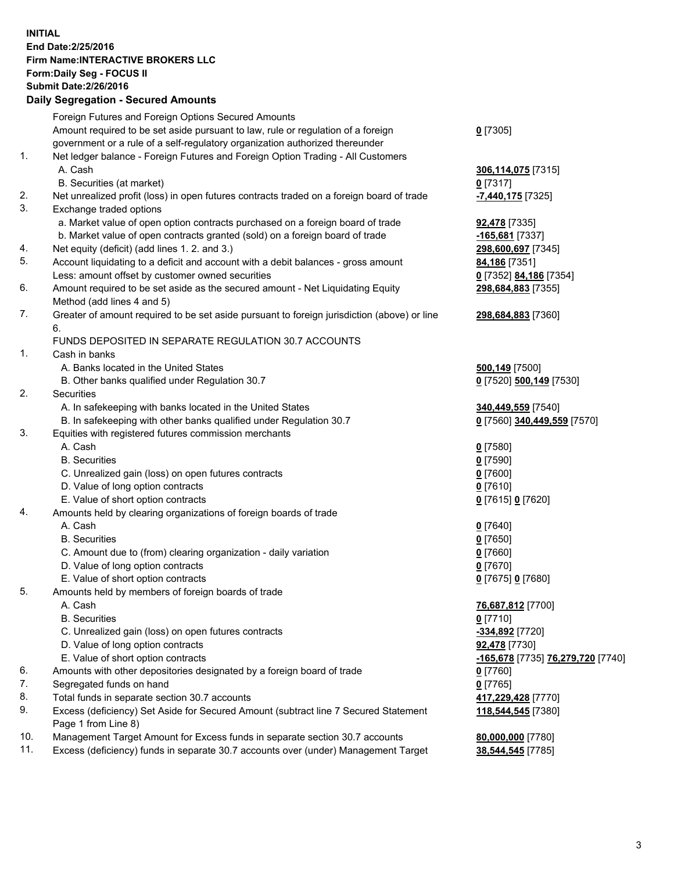## **INITIAL End Date:2/25/2016 Firm Name:INTERACTIVE BROKERS LLC Form:Daily Seg - FOCUS II Submit Date:2/26/2016 Daily Segregation - Secured Amounts**

|     | Dany Oogrogaach - Ocearea Amoanta                                                           |                                   |
|-----|---------------------------------------------------------------------------------------------|-----------------------------------|
|     | Foreign Futures and Foreign Options Secured Amounts                                         |                                   |
|     | Amount required to be set aside pursuant to law, rule or regulation of a foreign            | $0$ [7305]                        |
|     | government or a rule of a self-regulatory organization authorized thereunder                |                                   |
| 1.  | Net ledger balance - Foreign Futures and Foreign Option Trading - All Customers             |                                   |
|     | A. Cash                                                                                     | 306,114,075 [7315]                |
|     | B. Securities (at market)                                                                   | 0 [7317]                          |
| 2.  | Net unrealized profit (loss) in open futures contracts traded on a foreign board of trade   | -7,440,175 [7325]                 |
| 3.  | Exchange traded options                                                                     |                                   |
|     | a. Market value of open option contracts purchased on a foreign board of trade              | 92,478 [7335]                     |
|     | b. Market value of open contracts granted (sold) on a foreign board of trade                | -165,681 [7337]                   |
| 4.  | Net equity (deficit) (add lines 1.2. and 3.)                                                | 298,600,697 [7345]                |
| 5.  | Account liquidating to a deficit and account with a debit balances - gross amount           | 84,186 [7351]                     |
|     | Less: amount offset by customer owned securities                                            | 0 [7352] 84,186 [7354]            |
| 6.  | Amount required to be set aside as the secured amount - Net Liquidating Equity              | 298,684,883 [7355]                |
|     | Method (add lines 4 and 5)                                                                  |                                   |
| 7.  |                                                                                             |                                   |
|     | Greater of amount required to be set aside pursuant to foreign jurisdiction (above) or line | 298,684,883 [7360]                |
|     | 6.                                                                                          |                                   |
|     | FUNDS DEPOSITED IN SEPARATE REGULATION 30.7 ACCOUNTS                                        |                                   |
| 1.  | Cash in banks                                                                               |                                   |
|     | A. Banks located in the United States                                                       | 500,149 [7500]                    |
|     | B. Other banks qualified under Regulation 30.7                                              | 0 [7520] 500,149 [7530]           |
| 2.  | Securities                                                                                  |                                   |
|     | A. In safekeeping with banks located in the United States                                   | 340,449,559 [7540]                |
|     | B. In safekeeping with other banks qualified under Regulation 30.7                          | 0 [7560] 340,449,559 [7570]       |
| 3.  | Equities with registered futures commission merchants                                       |                                   |
|     | A. Cash                                                                                     | $0$ [7580]                        |
|     | <b>B.</b> Securities                                                                        | $0$ [7590]                        |
|     | C. Unrealized gain (loss) on open futures contracts                                         | $0$ [7600]                        |
|     | D. Value of long option contracts                                                           | $0$ [7610]                        |
|     | E. Value of short option contracts                                                          | 0 [7615] 0 [7620]                 |
| 4.  | Amounts held by clearing organizations of foreign boards of trade                           |                                   |
|     | A. Cash                                                                                     | $0$ [7640]                        |
|     | <b>B.</b> Securities                                                                        | $0$ [7650]                        |
|     | C. Amount due to (from) clearing organization - daily variation                             | $0$ [7660]                        |
|     | D. Value of long option contracts                                                           | $0$ [7670]                        |
|     | E. Value of short option contracts                                                          | 0 [7675] 0 [7680]                 |
| 5.  | Amounts held by members of foreign boards of trade                                          |                                   |
|     | A. Cash                                                                                     | 76,687,812 [7700]                 |
|     | <b>B.</b> Securities                                                                        | $0$ [7710]                        |
|     | C. Unrealized gain (loss) on open futures contracts                                         | -334,892 [7720]                   |
|     | D. Value of long option contracts                                                           | 92,478 [7730]                     |
|     | E. Value of short option contracts                                                          | -165,678 [7735] 76,279,720 [7740] |
| 6.  | Amounts with other depositories designated by a foreign board of trade                      | $0$ [7760]                        |
| 7.  | Segregated funds on hand                                                                    | $0$ [7765]                        |
| 8.  | Total funds in separate section 30.7 accounts                                               | 417,229,428 [7770]                |
| 9.  | Excess (deficiency) Set Aside for Secured Amount (subtract line 7 Secured Statement         | 118,544,545 [7380]                |
|     | Page 1 from Line 8)                                                                         |                                   |
| 10. | Management Target Amount for Excess funds in separate section 30.7 accounts                 | 80,000,000 [7780]                 |
| 11. | Excess (deficiency) funds in separate 30.7 accounts over (under) Management Target          | 38,544,545 [7785]                 |
|     |                                                                                             |                                   |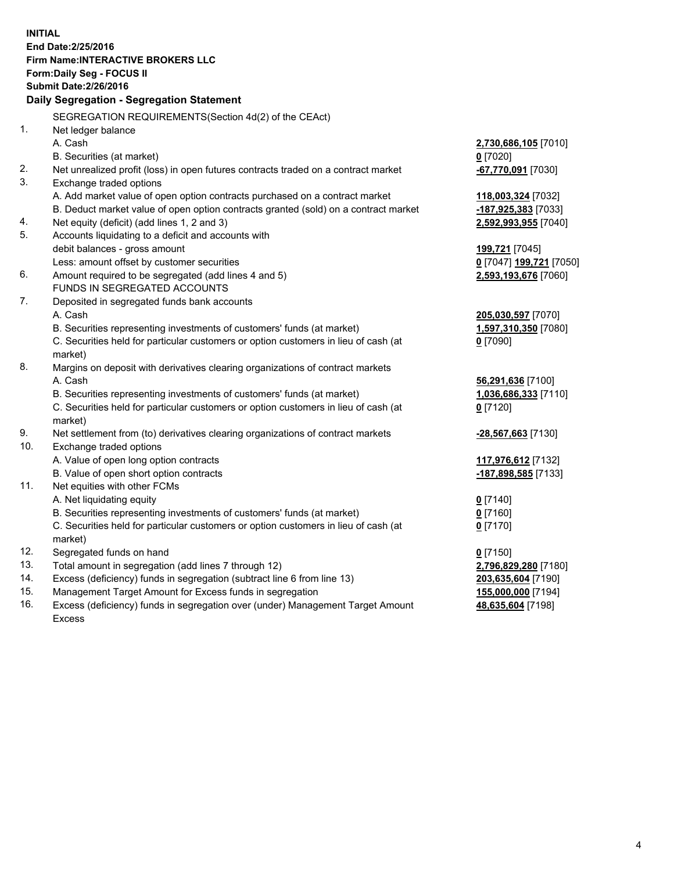**INITIAL End Date:2/25/2016 Firm Name:INTERACTIVE BROKERS LLC Form:Daily Seg - FOCUS II Submit Date:2/26/2016 Daily Segregation - Segregation Statement** SEGREGATION REQUIREMENTS(Section 4d(2) of the CEAct) 1. Net ledger balance A. Cash **2,730,686,105** [7010] B. Securities (at market) **0** [7020] 2. Net unrealized profit (loss) in open futures contracts traded on a contract market **-67,770,091** [7030] 3. Exchange traded options A. Add market value of open option contracts purchased on a contract market **118,003,324** [7032] B. Deduct market value of open option contracts granted (sold) on a contract market **-187,925,383** [7033] 4. Net equity (deficit) (add lines 1, 2 and 3) **2,592,993,955** [7040] 5. Accounts liquidating to a deficit and accounts with debit balances - gross amount **199,721** [7045] Less: amount offset by customer securities **0** [7047] **199,721** [7050] 6. Amount required to be segregated (add lines 4 and 5) **2,593,193,676** [7060] FUNDS IN SEGREGATED ACCOUNTS 7. Deposited in segregated funds bank accounts A. Cash **205,030,597** [7070] B. Securities representing investments of customers' funds (at market) **1,597,310,350** [7080] C. Securities held for particular customers or option customers in lieu of cash (at market) **0** [7090] 8. Margins on deposit with derivatives clearing organizations of contract markets A. Cash **56,291,636** [7100] B. Securities representing investments of customers' funds (at market) **1,036,686,333** [7110] C. Securities held for particular customers or option customers in lieu of cash (at market) **0** [7120] 9. Net settlement from (to) derivatives clearing organizations of contract markets **-28,567,663** [7130] 10. Exchange traded options A. Value of open long option contracts **117,976,612** [7132] B. Value of open short option contracts **-187,898,585** [7133] 11. Net equities with other FCMs A. Net liquidating equity **0** [7140] B. Securities representing investments of customers' funds (at market) **0** [7160] C. Securities held for particular customers or option customers in lieu of cash (at market) **0** [7170] 12. Segregated funds on hand **0** [7150] 13. Total amount in segregation (add lines 7 through 12) **2,796,829,280** [7180] 14. Excess (deficiency) funds in segregation (subtract line 6 from line 13) **203,635,604** [7190] 15. Management Target Amount for Excess funds in segregation **155,000,000** [7194] **48,635,604** [7198]

16. Excess (deficiency) funds in segregation over (under) Management Target Amount Excess